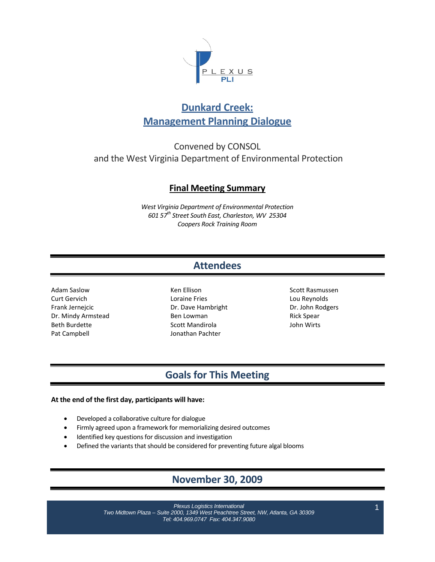

# **Dunkard Creek: Management Planning Dialogue**

Convened by CONSOL and the West Virginia Department of Environmental Protection

## **Final Meeting Summary**

*West Virginia Department of Environmental Protection 601 57th Street South East, Charleston, WV 25304 Coopers Rock Training Room*

# **Attendees**

Adam Saslow Curt Gervich Frank Jernejcic Dr. Mindy Armstead Beth Burdette Pat Campbell

Ken Ellison Loraine Fries Dr. Dave Hambright Ben Lowman Scott Mandirola Jonathan Pachter

Scott Rasmussen Lou Reynolds Dr. John Rodgers Rick Spear John Wirts

## **Goals for This Meeting**

### **At the end of the first day, participants will have:**

- Developed a collaborative culture for dialogue
- Firmly agreed upon a framework for memorializing desired outcomes
- Identified key questions for discussion and investigation
- Defined the variants that should be considered for preventing future algal blooms

# **November 30, 2009**

*Plexus Logistics International Two Midtown Plaza – Suite 2000, 1349 West Peachtree Street, NW, Atlanta, GA 30309 Tel: 404.969.0747 Fax: 404.347.9080*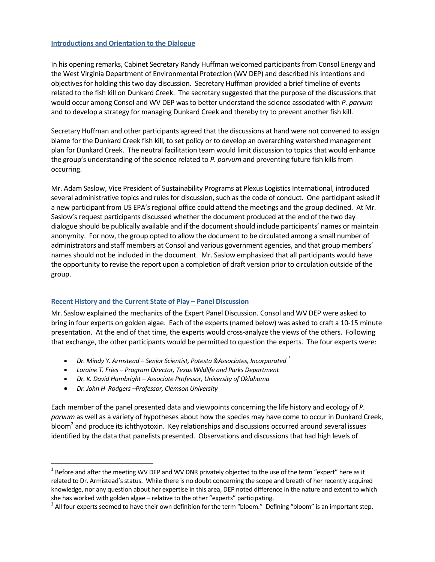#### **Introductions and Orientation to the Dialogue**

In his opening remarks, Cabinet Secretary Randy Huffman welcomed participants from Consol Energy and the West Virginia Department of Environmental Protection (WV DEP) and described his intentions and objectives for holding this two day discussion. Secretary Huffman provided a brief timeline of events related to the fish kill on Dunkard Creek. The secretary suggested that the purpose of the discussions that would occur among Consol and WV DEP was to better understand the science associated with *P. parvum* and to develop a strategy for managing Dunkard Creek and thereby try to prevent another fish kill.

Secretary Huffman and other participants agreed that the discussions at hand were not convened to assign blame for the Dunkard Creek fish kill, to set policy or to develop an overarching watershed management plan for Dunkard Creek. The neutral facilitation team would limit discussion to topics that would enhance the group's understanding of the science related to *P. parvum* and preventing future fish kills from occurring.

Mr. Adam Saslow, Vice President of Sustainability Programs at Plexus Logistics International, introduced several administrative topics and rules for discussion, such as the code of conduct. One participant asked if a new participant from US EPA's regional office could attend the meetings and the group declined. At Mr. Saslow's request participants discussed whether the document produced at the end of the two day dialogue should be publically available and if the document should include participants' names or maintain anonymity. For now, the group opted to allow the document to be circulated among a small number of administrators and staff members at Consol and various government agencies, and that group members' names should not be included in the document. Mr. Saslow emphasized that all participants would have the opportunity to revise the report upon a completion of draft version prior to circulation outside of the group.

### **Recent History and the Current State of Play – Panel Discussion**

Mr. Saslow explained the mechanics of the Expert Panel Discussion. Consol and WV DEP were asked to bring in four experts on golden algae. Each of the experts (named below) was asked to craft a 10‐15 minute presentation. At the end of that time, the experts would cross-analyze the views of the others. Following that exchange, the other participants would be permitted to question the experts. The four experts were:

- *Dr. Mindy Y. Armstead – Senior Scientist, Potesta &Associates, Incorporated <sup>1</sup>*
- *Loraine T. Fries – Program Director, Texas Wildlife and Parks Department*
- *Dr. K. David Hambright – Associate Professor, University of Oklahoma*
- *Dr. John H Rodgers –Professor, Clemson University*

Each member of the panel presented data and viewpoints concerning the life history and ecology of *P. parvum* as well as a variety of hypotheses about how the species may have come to occur in Dunkard Creek, bloom<sup>2</sup> and produce its ichthyotoxin. Key relationships and discussions occurred around several issues identified by the data that panelists presented. Observations and discussions that had high levels of

 $1$  Before and after the meeting WV DEP and WV DNR privately objected to the use of the term "expert" here as it related to Dr. Armistead'sstatus. While there is no doubt concerning the scope and breath of her recently acquired knowledge, nor any question about her expertise in this area, DEP noted difference in the nature and extent to which she has worked with golden algae – relative to the other "experts" participating.<br><sup>2</sup> All four experts seemed to have their own definition for the term "bloom." Defining "bloom" is an important step.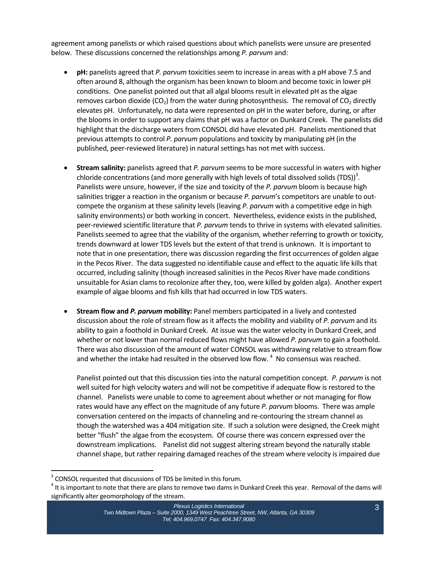agreement among panelists or which raised questions about which panelists were unsure are presented below. These discussions concerned the relationships among *P. parvum* and:

- **pH:** panelists agreed that *P. parvum* toxicities seem to increase in areas with a pH above 7.5 and often around 8, although the organism has been known to bloom and become toxic in lower pH conditions. One panelist pointed out that all algal blooms result in elevated pH as the algae removes carbon dioxide (CO<sub>2</sub>) from the water during photosynthesis. The removal of CO<sub>2</sub> directly elevates pH. Unfortunately, no data were represented on pH in the water before, during, or after the blooms in order to support any claims that pH was a factor on Dunkard Creek. The panelists did highlight that the discharge waters from CONSOL did have elevated pH. Panelists mentioned that previous attempts to control *P. parvum* populations and toxicity by manipulating pH (in the published, peer‐reviewed literature) in natural settings has not met with success.
- **Stream salinity:** panelists agreed that *P. parvum* seems to be more successful in waters with higher chloride concentrations (and more generally with high levels of total dissolved solids (TDS))<sup>3</sup>. Panelists were unsure, however, if the size and toxicity of the *P. parvum* bloom is because high salinities trigger a reaction in the organism or because *P. parvum*'s competitors are unable to out‐ compete the organism at these salinity levels (leaving *P. parvum* with a competitive edge in high salinity environments) or both working in concert. Nevertheless, evidence exists in the published, peer‐reviewed scientific literature that *P. parvum* tends to thrive in systems with elevated salinities. Panelists seemed to agree that the viability of the organism, whether referring to growth or toxicity, trends downward at lower TDS levels but the extent of that trend is unknown. It is important to note that in one presentation, there was discussion regarding the first occurrences of golden algae in the Pecos River. The data suggested no identifiable cause and effect to the aquatic life kills that occurred, including salinity (though increased salinities in the Pecos River have made conditions unsuitable for Asian clams to recolonize after they, too, were killed by golden alga). Another expert example of algae blooms and fish kills that had occurred in low TDS waters.
- **Stream flow and** *P. parvum* **mobility:** Panel members participated in a lively and contested discussion about the role of stream flow as it affects the mobility and viability of *P. parvum* and its ability to gain a foothold in Dunkard Creek. At issue was the water velocity in Dunkard Creek, and whether or not lower than normal reduced flows might have allowed *P. parvum* to gain a foothold. There was also discussion of the amount of water CONSOL was withdrawing relative to stream flow and whether the intake had resulted in the observed low flow.  $<sup>4</sup>$  No consensus was reached.</sup>

Panelist pointed out that this discussion ties into the natural competition concept. *P. parvum* is not well suited for high velocity waters and will not be competitive if adequate flow is restored to the channel. Panelists were unable to come to agreement about whether or not managing for flow rates would have any effect on the magnitude of any future *P. parvum* blooms. There was ample conversation centered on the impacts of channeling and re‐contouring the stream channel as though the watershed was a 404 mitigation site. If such a solution were designed, the Creek might better "flush" the algae from the ecosystem. Of course there was concern expressed over the downstream implications. Panelist did not suggest altering stream beyond the naturally stable channel shape, but rather repairing damaged reaches of the stream where velocity is impaired due

<sup>&</sup>lt;sup>3</sup> CONSOL requested that discussions of TDS be limited in this forum.<br><sup>4</sup> It is important to note that there are plans to remove two dams in Dunkard Creek this year. Removal of the dams will significantly alter geomorphology of the stream.

*Plexus Logistics International Two Midtown Plaza – Suite 2000, 1349 West Peachtree Street, NW, Atlanta, GA 30309 Tel: 404.969.0747 Fax: 404.347.9080*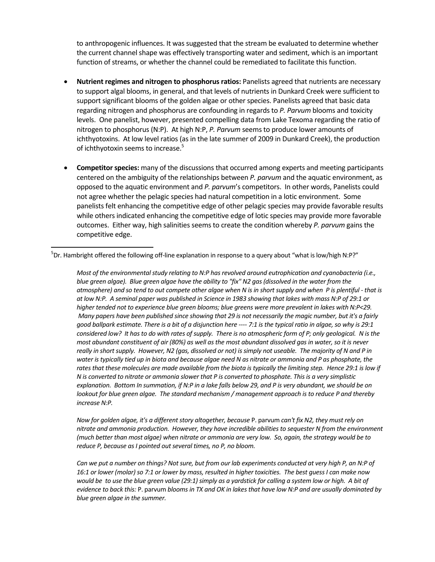to anthropogenic influences. It was suggested that the stream be evaluated to determine whether the current channel shape was effectively transporting water and sediment, which is an important function of streams, or whether the channel could be remediated to facilitate this function.

- **Nutrient regimes and nitrogen to phosphorusratios:** Panelists agreed that nutrients are necessary to support algal blooms, in general, and that levels of nutrients in Dunkard Creek were sufficient to support significant blooms of the golden algae or other species. Panelists agreed that basic data regarding nitrogen and phosphorus are confounding in regards to *P. Parvum* blooms and toxicity levels. One panelist, however, presented compelling data from Lake Texoma regarding the ratio of nitrogen to phosphorus (N:P). At high N:P, *P. Parvum* seems to produce lower amounts of ichthyotoxins. At low level ratios (as in the late summer of 2009 in Dunkard Creek), the production of ichthyotoxin seems to increase.<sup>5</sup>
- **Competitor species:** many of the discussions that occurred among experts and meeting participants centered on the ambiguity of the relationships between *P. parvum* and the aquatic environment, as opposed to the aquatic environment and *P. parvum*'s competitors. In other words, Panelists could not agree whether the pelagic species had natural competition in a lotic environment. Some panelists felt enhancing the competitive edge of other pelagic species may provide favorable results while others indicated enhancing the competitive edge of lotic species may provide more favorable outcomes. Either way, high salinities seems to create the condition whereby *P. parvum* gains the competitive edge.

*Most of the environmental study relating to N:P hasrevolved around eutrophication and cyanobacteria (i.e.,* blue green algae). Blue green algae have the ability to "fix" N2 gas (dissolved in the water from the atmosphere) and so tend to out compete other algae when N is in short supply and when P is plentiful - that is at low N:P. A seminal paper was published in Science in 1983 showing that lakes with mass N:P of 29:1 or *higher tended not to experience blue green blooms; blue greens were more prevalent in lakes with N:P<29.* Many papers have been published since showing that 29 is not necessarily the magic number, but it's a fairly good ballpark estimate. There is a bit of a disjunction here ---- 7:1 is the typical ratio in algae, so why is 29:1 considered low? It has to do with rates of supply. There is no atmospheric form of P; only geological. N is the most abundant constituent of air (80%) as well as the most abundant dissolved gas in water, so it is never really in short supply. However, N2 (gas, dissolved or not) is simply not useable. The majority of N and P in water is typically tied up in biota and because algae need N as nitrate or ammonia and P as phosphate, the rates that these molecules are made available from the biota is typically the limiting step. Hence 29:1 is low if N is converted to nitrate or ammonia slower that P is converted to phosphate. This is a very simplistic explanation. Bottom In summation, if N:P in a lake falls below 29, and P is very abundant, we should be on lookout for blue green algae. The standard mechanism / management approach is to reduce P and thereby *increase N:P.*

*Mow for golden algae, it's a different story altogether, because P. parvum can't fix N2, they must rely on nitrate and ammonia production. However, they have incredible abilities to sequester N from the environment* (much better than most algae) when nitrate or ammonia are very low. So, again, the strategy would be to *reduce P*, *because as I* pointed out several times, no *P*, no *bloom.* 

Can we put a number on things? Not sure, but from our lab experiments conducted at very high P, an N:P of 16:1 or lower (molar) so 7:1 or lower by mass, resulted in higher toxicities. The best guess I can make now would be to use the blue green value (29:1) simply as a yardstick for calling a system low or high. A bit of evidence to back this: P. parvum blooms in TX and OK in lakes that have low N:P and are usually dominated by *blue green algae in the summer.*

 $^5$ Dr. Hambright offered the following off-line explanation in response to a query about "what is low/high N:P?"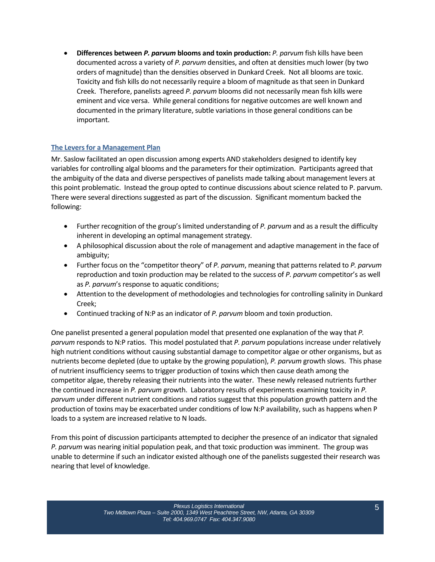• **Differences between** *P. parvum* **blooms and toxin production:** *P. parvum* fish kills have been documented across a variety of *P. parvum* densities, and often at densities much lower (by two orders of magnitude) than the densities observed in Dunkard Creek. Not all blooms are toxic. Toxicity and fish kills do not necessarily require a bloom of magnitude as that seen in Dunkard Creek. Therefore, panelists agreed *P. parvum* blooms did not necessarily mean fish kills were eminent and vice versa. While general conditions for negative outcomes are well known and documented in the primary literature, subtle variations in those general conditions can be important.

## **The Leversfor a Management Plan**

Mr. Saslow facilitated an open discussion among experts AND stakeholders designed to identify key variables for controlling algal blooms and the parameters for their optimization. Participants agreed that the ambiguity of the data and diverse perspectives of panelists made talking about management levers at this point problematic. Instead the group opted to continue discussions about science related to P. parvum. There were several directions suggested as part of the discussion. Significant momentum backed the following:

- Further recognition of the group's limited understanding of *P. parvum* and as a result the difficulty inherent in developing an optimal management strategy.
- A philosophical discussion about the role of management and adaptive management in the face of ambiguity;
- Further focus on the "competitor theory" of *P. parvum*, meaning that patterns related to *P. parvum* reproduction and toxin production may be related to the success of *P. parvum* competitor's as well as *P. parvum*'s response to aquatic conditions;
- Attention to the development of methodologies and technologies for controlling salinity in Dunkard Creek;
- Continued tracking of N:P as an indicator of *P. parvum* bloom and toxin production.

One panelist presented a general population model that presented one explanation of the way that *P. parvum* responds to N:P ratios. This model postulated that *P. parvum* populations increase under relatively high nutrient conditions without causing substantial damage to competitor algae or other organisms, but as nutrients become depleted (due to uptake by the growing population), *P. parvum* growth slows. This phase of nutrient insufficiency seems to trigger production of toxins which then cause death among the competitor algae, thereby releasing their nutrients into the water. These newly released nutrients further the continued increase in *P. parvum* growth. Laboratory results of experiments examining toxicity in *P. parvum* under different nutrient conditions and ratios suggest that this population growth pattern and the production of toxins may be exacerbated under conditions of low N:P availability, such as happens when P loads to a system are increased relative to N loads.

From this point of discussion participants attempted to decipher the presence of an indicator that signaled *P. parvum* was nearing initial population peak, and that toxic production was imminent. The group was unable to determine if such an indicator existed although one of the panelists suggested their research was nearing that level of knowledge.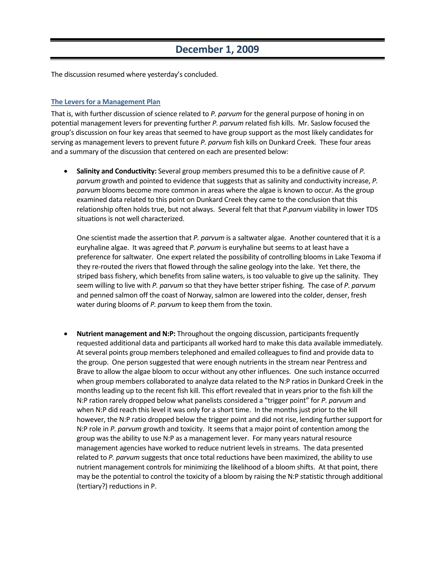## **December 1, 2009**

The discussion resumed where yesterday's concluded.

### **The Leversfor a Management Plan**

That is, with further discussion of science related to *P. parvum* for the general purpose of honing in on potential management levers for preventing further *P. parvum* related fish kills. Mr. Saslow focused the group's discussion on four key areas that seemed to have group support as the most likely candidates for serving as management levers to prevent future *P. parvum* fish kills on Dunkard Creek. These four areas and a summary of the discussion that centered on each are presented below:

• **Salinity and Conductivity:** Several group members presumed this to be a definitive cause of *P.* parvum growth and pointed to evidence that suggests that as salinity and conductivity increase, *P. parvum* blooms become more common in areas where the algae is known to occur. As the group examined data related to this point on Dunkard Creek they came to the conclusion that this relationship often holds true, but not always. Several felt that that *P.parvum* viability in lower TDS situations is not well characterized.

One scientist made the assertion that *P. parvum* is a saltwater algae. Another countered that it is a euryhaline algae. It was agreed that *P. parvum* is euryhaline but seems to at least have a preference for saltwater. One expert related the possibility of controlling blooms in Lake Texoma if they re-routed the rivers that flowed through the saline geology into the lake. Yet there, the striped bass fishery, which benefits from saline waters, is too valuable to give up the salinity. They seem willing to live with *P. parvum* so that they have better striper fishing. The case of *P. parvum* and penned salmon off the coast of Norway, salmon are lowered into the colder, denser, fresh water during blooms of *P. parvum* to keep them from the toxin.

• **Nutrient management and N:P:** Throughout the ongoing discussion, participants frequently requested additional data and participants all worked hard to make this data available immediately. At several points group members telephoned and emailed colleagues to find and provide data to the group. One person suggested that were enough nutrients in the stream near Pentress and Brave to allow the algae bloom to occur without any other influences. One such instance occurred when group members collaborated to analyze data related to the N:P ratios in Dunkard Creek in the months leading up to the recent fish kill. This effort revealed that in years prior to the fish kill the N:P ration rarely dropped below what panelists considered a "trigger point" for *P. parvum* and when N:P did reach this level it was only for a short time. In the months just prior to the kill however, the N:P ratio dropped below the trigger point and did not rise, lending further support for N:P role in *P. parvum* growth and toxicity. It seems that a major point of contention among the group was the ability to use N:P as a management lever. For many years natural resource management agencies have worked to reduce nutrient levels in streams. The data presented related to *P. parvum* suggests that once total reductions have been maximized, the ability to use nutrient management controls for minimizing the likelihood of a bloom shifts. At that point, there may be the potential to control the toxicity of a bloom by raising the N:P statistic through additional (tertiary?) reductions in P.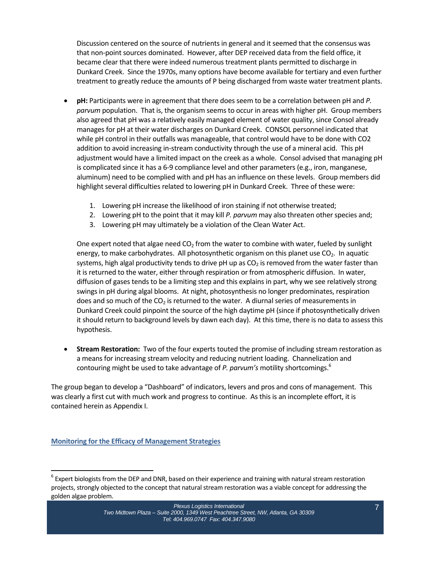Discussion centered on the source of nutrients in general and it seemed that the consensus was that non‐point sources dominated. However, after DEP received data from the field office, it became clear that there were indeed numerous treatment plants permitted to discharge in Dunkard Creek. Since the 1970s, many options have become available for tertiary and even further treatment to greatly reduce the amounts of P being discharged from waste water treatment plants.

- **pH:** Participants were in agreement that there does seem to be a correlation between pH and *P. parvum* population. That is, the organism seems to occur in areas with higher pH. Group members also agreed that pH was a relatively easily managed element of water quality, since Consol already manages for pH at their water discharges on Dunkard Creek. CONSOL personnel indicated that while pH control in their outfalls was manageable, that control would have to be done with CO2 addition to avoid increasing in‐stream conductivity through the use of a mineral acid. This pH adjustment would have a limited impact on the creek as a whole. Consol advised that managing pH is complicated since it has a 6‐9 compliance level and other parameters (e.g., iron, manganese, aluminum) need to be complied with and pH has an influence on these levels. Group members did highlight several difficulties related to lowering pH in Dunkard Creek. Three of these were:
	- 1. Lowering pH increase the likelihood of iron staining if not otherwise treated;
	- 2. Lowering pH to the point that it may kill *P. parvum* may also threaten other species and;
	- 3. Lowering pH may ultimately be a violation of the Clean Water Act.

One expert noted that algae need  $CO<sub>2</sub>$  from the water to combine with water, fueled by sunlight energy, to make carbohydrates. All photosynthetic organism on this planet use CO<sub>2</sub>. In aquatic systems, high algal productivity tends to drive pH up as  $CO<sub>2</sub>$  is removed from the water faster than it is returned to the water, either through respiration or from atmospheric diffusion. In water, diffusion of gases tends to be a limiting step and this explains in part, why we see relatively strong swings in pH during algal blooms. At night, photosynthesis no longer predominates, respiration does and so much of the  $CO<sub>2</sub>$  is returned to the water. A diurnal series of measurements in Dunkard Creek could pinpoint the source of the high daytime pH (since if photosynthetically driven it should return to background levels by dawn each day). At this time, there is no data to assess this hypothesis.

• **Stream Restoration:** Two of the four experts touted the promise of including stream restoration as a means for increasing stream velocity and reducing nutrient loading. Channelization and contouring might be used to take advantage of *P. parvum's* motility shortcomings.6

The group began to develop a "Dashboard" of indicators, levers and pros and cons of management. This was clearly a first cut with much work and progress to continue. As this is an incomplete effort, it is contained herein as Appendix I.

**Monitoring for the Efficacy of Management Strategies**

 $6$  Expert biologists from the DEP and DNR, based on their experience and training with natural stream restoration projects, strongly objected to the concept that natural stream restoration was a viable concept for addressing the golden algae problem.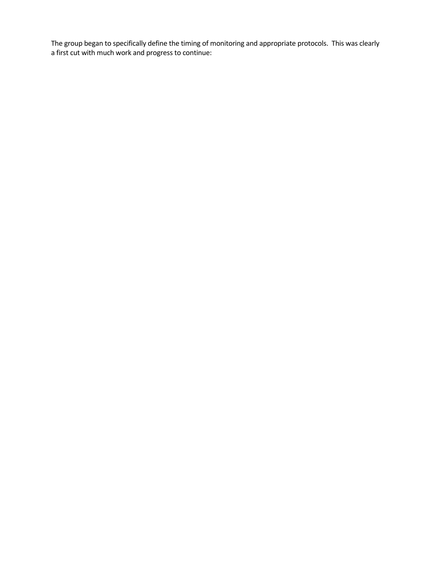The group began to specifically define the timing of monitoring and appropriate protocols. This was clearly a first cut with much work and progress to continue: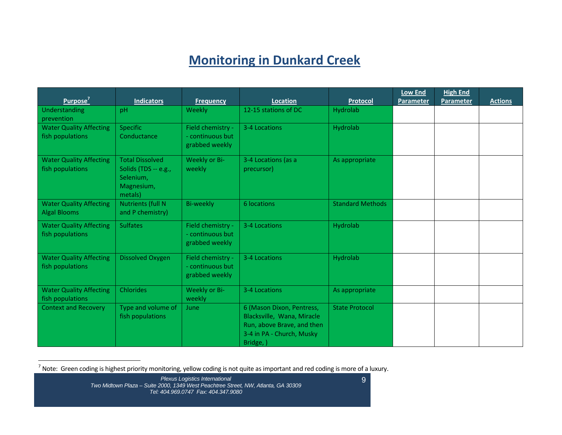# **Monitoring in Dunkard Creek**

| Purpose <sup>7</sup>                               | <b>Indicators</b>        | <b>Frequency</b>                   | Location                                                 | Protocol                | <b>Low End</b><br>Parameter | <b>High End</b><br>Parameter | <b>Actions</b> |
|----------------------------------------------------|--------------------------|------------------------------------|----------------------------------------------------------|-------------------------|-----------------------------|------------------------------|----------------|
| Understanding                                      | pH                       | Weekly                             | 12-15 stations of DC                                     | Hydrolab                |                             |                              |                |
| prevention                                         |                          |                                    |                                                          |                         |                             |                              |                |
| <b>Water Quality Affecting</b>                     | Specific                 | Field chemistry -                  | 3-4 Locations                                            | Hydrolab                |                             |                              |                |
| fish populations                                   | Conductance              | - continuous but<br>grabbed weekly |                                                          |                         |                             |                              |                |
|                                                    | <b>Total Dissolved</b>   | Weekly or Bi-                      | 3-4 Locations (as a                                      |                         |                             |                              |                |
| <b>Water Quality Affecting</b><br>fish populations | Solids (TDS -- e.g.,     | weekly                             | precursor)                                               | As appropriate          |                             |                              |                |
|                                                    | Selenium,                |                                    |                                                          |                         |                             |                              |                |
|                                                    | Magnesium,               |                                    |                                                          |                         |                             |                              |                |
|                                                    | metals)                  |                                    |                                                          |                         |                             |                              |                |
| <b>Water Quality Affecting</b>                     | <b>Nutrients (full N</b> | <b>Bi-weekly</b>                   | 6 locations                                              | <b>Standard Methods</b> |                             |                              |                |
| <b>Algal Blooms</b>                                | and P chemistry)         |                                    |                                                          |                         |                             |                              |                |
| <b>Water Quality Affecting</b>                     | <b>Sulfates</b>          | Field chemistry -                  | 3-4 Locations                                            | Hydrolab                |                             |                              |                |
| fish populations                                   |                          | - continuous but                   |                                                          |                         |                             |                              |                |
|                                                    |                          | grabbed weekly                     |                                                          |                         |                             |                              |                |
| <b>Water Quality Affecting</b>                     | Dissolved Oxygen         | Field chemistry -                  | 3-4 Locations                                            | Hydrolab                |                             |                              |                |
| fish populations                                   |                          | - continuous but                   |                                                          |                         |                             |                              |                |
|                                                    |                          | grabbed weekly                     |                                                          |                         |                             |                              |                |
|                                                    |                          |                                    |                                                          |                         |                             |                              |                |
| <b>Water Quality Affecting</b>                     | <b>Chlorides</b>         | Weekly or Bi-                      | 3-4 Locations                                            | As appropriate          |                             |                              |                |
| fish populations                                   |                          | weekly                             |                                                          |                         |                             |                              |                |
| <b>Context and Recovery</b>                        | Type and volume of       | June                               | 6 (Mason Dixon, Pentress,                                | <b>State Protocol</b>   |                             |                              |                |
|                                                    | fish populations         |                                    | Blacksville, Wana, Miracle<br>Run, above Brave, and then |                         |                             |                              |                |
|                                                    |                          |                                    | 3-4 in PA - Church, Musky                                |                         |                             |                              |                |
|                                                    |                          |                                    | Bridge, )                                                |                         |                             |                              |                |

 $^7$  Note: Green coding is highest priority monitoring, yellow coding is not quite as important and red coding is more of a luxury.

*Plexus Logistics International Two Midtown Plaza – Suite 2000, 1349 West Peachtree Street, NW, Atlanta, GA 30309 Tel: 404.969.0747 Fax: 404.347.9080*

9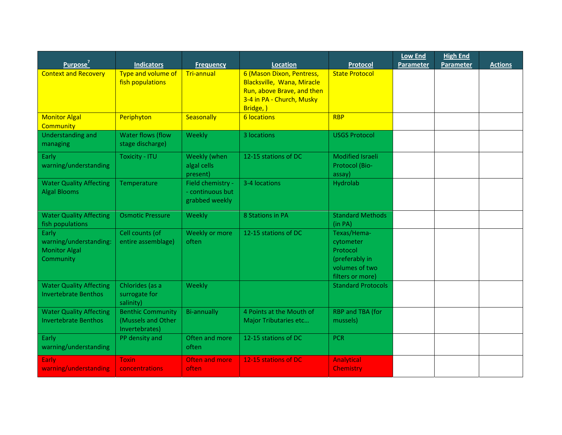|                                |                          |                       |                            |                           | <b>Low End</b> | <b>High End</b>  |                |
|--------------------------------|--------------------------|-----------------------|----------------------------|---------------------------|----------------|------------------|----------------|
| Purpose <sup>7</sup>           | <b>Indicators</b>        | <b>Frequency</b>      | Location                   | <b>Protocol</b>           | Parameter      | <b>Parameter</b> | <b>Actions</b> |
| <b>Context and Recovery</b>    | Type and volume of       | <b>Tri-annual</b>     | 6 (Mason Dixon, Pentress,  | <b>State Protocol</b>     |                |                  |                |
|                                | fish populations         |                       | Blacksville, Wana, Miracle |                           |                |                  |                |
|                                |                          |                       | Run, above Brave, and then |                           |                |                  |                |
|                                |                          |                       | 3-4 in PA - Church, Musky  |                           |                |                  |                |
|                                |                          |                       | Bridge, )                  |                           |                |                  |                |
| <b>Monitor Algal</b>           | Periphyton               | Seasonally            | <b>6 locations</b>         | <b>RBP</b>                |                |                  |                |
| <b>Community</b>               |                          |                       |                            |                           |                |                  |                |
| <b>Understanding and</b>       | Water flows (flow        | Weekly                | 3 locations                | <b>USGS Protocol</b>      |                |                  |                |
| managing                       | stage discharge)         |                       |                            |                           |                |                  |                |
| Early                          | <b>Toxicity - ITU</b>    | Weekly (when          | 12-15 stations of DC       | <b>Modified Israeli</b>   |                |                  |                |
| warning/understanding          |                          | algal cells           |                            | Protocol (Bio-            |                |                  |                |
|                                |                          | present)              |                            | assay)                    |                |                  |                |
| <b>Water Quality Affecting</b> | Temperature              | Field chemistry -     | 3-4 locations              | Hydrolab                  |                |                  |                |
| <b>Algal Blooms</b>            |                          | - continuous but      |                            |                           |                |                  |                |
|                                |                          | grabbed weekly        |                            |                           |                |                  |                |
| <b>Water Quality Affecting</b> | <b>Osmotic Pressure</b>  | Weekly                | 8 Stations in PA           | <b>Standard Methods</b>   |                |                  |                |
| fish populations               |                          |                       |                            | (in PA)                   |                |                  |                |
| Early                          | Cell counts (of          | Weekly or more        | 12-15 stations of DC       | Texas/Hema-               |                |                  |                |
| warning/understanding:         | entire assemblage)       | often                 |                            | cytometer                 |                |                  |                |
| <b>Monitor Algal</b>           |                          |                       |                            | Protocol                  |                |                  |                |
| Community                      |                          |                       |                            | (preferably in            |                |                  |                |
|                                |                          |                       |                            | volumes of two            |                |                  |                |
|                                |                          |                       |                            | filters or more)          |                |                  |                |
| <b>Water Quality Affecting</b> | Chlorides (as a          | Weekly                |                            | <b>Standard Protocols</b> |                |                  |                |
| <b>Invertebrate Benthos</b>    | surrogate for            |                       |                            |                           |                |                  |                |
|                                | salinity)                |                       |                            |                           |                |                  |                |
| <b>Water Quality Affecting</b> | <b>Benthic Community</b> | <b>Bi-annually</b>    | 4 Points at the Mouth of   | RBP and TBA (for          |                |                  |                |
| <b>Invertebrate Benthos</b>    | (Mussels and Other       |                       | Major Tributaries etc      | mussels)                  |                |                  |                |
|                                | Invertebrates)           |                       |                            |                           |                |                  |                |
| Early                          | PP density and           | Often and more        | 12-15 stations of DC       | <b>PCR</b>                |                |                  |                |
| warning/understanding          |                          | often                 |                            |                           |                |                  |                |
| Early                          | <b>Toxin</b>             | <b>Often and more</b> | 12-15 stations of DC       | Analytical                |                |                  |                |
| warning/understanding          | concentrations           | often                 |                            | <b>Chemistry</b>          |                |                  |                |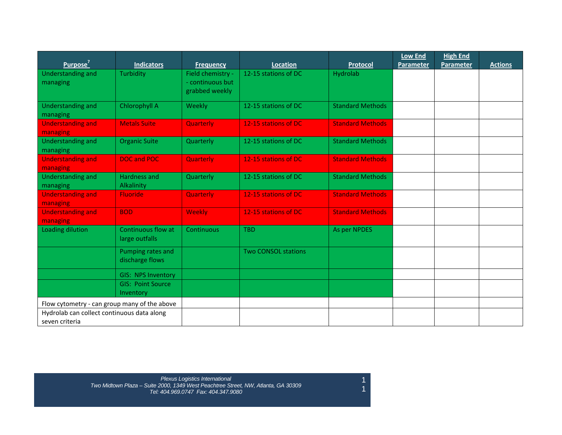|                                              |                                      |                   |                            |                         | <b>Low End</b> | <b>High End</b>  |                |
|----------------------------------------------|--------------------------------------|-------------------|----------------------------|-------------------------|----------------|------------------|----------------|
| Purpose'                                     | <b>Indicators</b>                    | <b>Frequency</b>  | Location                   | <b>Protocol</b>         | Parameter      | <b>Parameter</b> | <b>Actions</b> |
| <b>Understanding and</b>                     | Turbidity                            | Field chemistry - | 12-15 stations of DC       | Hydrolab                |                |                  |                |
| managing                                     |                                      | - continuous but  |                            |                         |                |                  |                |
|                                              |                                      | grabbed weekly    |                            |                         |                |                  |                |
| <b>Understanding and</b>                     | Chlorophyll A                        | Weekly            | 12-15 stations of DC       | <b>Standard Methods</b> |                |                  |                |
| managing                                     |                                      |                   |                            |                         |                |                  |                |
| <b>Understanding and</b>                     | <b>Metals Suite</b>                  | <b>Quarterly</b>  | 12-15 stations of DC       | <b>Standard Methods</b> |                |                  |                |
| managing                                     |                                      |                   |                            |                         |                |                  |                |
| <b>Understanding and</b>                     | <b>Organic Suite</b>                 | Quarterly         | 12-15 stations of DC       | <b>Standard Methods</b> |                |                  |                |
| managing                                     |                                      |                   |                            |                         |                |                  |                |
| <b>Understanding and</b>                     | <b>DOC and POC</b>                   | Quarterly         | 12-15 stations of DC       | <b>Standard Methods</b> |                |                  |                |
| managing                                     |                                      |                   |                            |                         |                |                  |                |
| <b>Understanding and</b>                     | <b>Hardness and</b>                  | Quarterly         | 12-15 stations of DC       | <b>Standard Methods</b> |                |                  |                |
| managing                                     | Alkalinity                           |                   |                            |                         |                |                  |                |
| <b>Understanding and</b>                     | <b>Fluoride</b>                      | Quarterly         | 12-15 stations of DC       | <b>Standard Methods</b> |                |                  |                |
| managing                                     |                                      |                   |                            |                         |                |                  |                |
| <b>Understanding and</b>                     | <b>BOD</b>                           | <b>Weekly</b>     | 12-15 stations of DC       | <b>Standard Methods</b> |                |                  |                |
| managing                                     |                                      |                   |                            |                         |                |                  |                |
| Loading dilution                             | Continuous flow at<br>large outfalls | Continuous        | <b>TBD</b>                 | As per NPDES            |                |                  |                |
|                                              | Pumping rates and                    |                   | <b>Two CONSOL stations</b> |                         |                |                  |                |
|                                              | discharge flows                      |                   |                            |                         |                |                  |                |
|                                              | <b>GIS: NPS Inventory</b>            |                   |                            |                         |                |                  |                |
|                                              | <b>GIS: Point Source</b>             |                   |                            |                         |                |                  |                |
|                                              | Inventory                            |                   |                            |                         |                |                  |                |
| Flow cytometry - can group many of the above |                                      |                   |                            |                         |                |                  |                |
| Hydrolab can collect continuous data along   |                                      |                   |                            |                         |                |                  |                |
| seven criteria                               |                                      |                   |                            |                         |                |                  |                |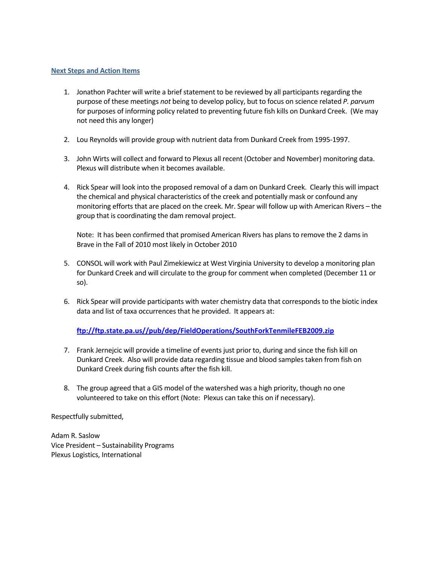#### **Next Steps and Action Items**

- 1. Jonathon Pachter will write a brief statement to be reviewed by all participants regarding the purpose of these meetings *not* being to develop policy, but to focus on science related *P. parvum* for purposes of informing policy related to preventing future fish kills on Dunkard Creek. (We may not need this any longer)
- 2. Lou Reynolds will provide group with nutrient data from Dunkard Creek from 1995‐1997.
- 3. John Wirts will collect and forward to Plexus all recent (October and November) monitoring data. Plexus will distribute when it becomes available.
- 4. Rick Spear will look into the proposed removal of a dam on Dunkard Creek. Clearly this will impact the chemical and physical characteristics of the creek and potentially mask or confound any monitoring efforts that are placed on the creek. Mr. Spear will follow up with American Rivers – the group that is coordinating the dam removal project.

Note: It has been confirmed that promised American Rivers has plans to remove the 2 dams in Brave in the Fall of 2010 most likely in October 2010

- 5. CONSOL will work with Paul Zimekiewicz at West Virginia University to develop a monitoring plan for Dunkard Creek and will circulate to the group for comment when completed (December 11 or so).
- 6. Rick Spear will provide participants with water chemistry data that corresponds to the biotic index data and list of taxa occurrences that he provided. It appears at:

## **ftp://ftp.state.pa.us//pub/dep/FieldOperations/SouthForkTenmileFEB2009.zip**

- 7. Frank Jernejcic will provide a timeline of events just prior to, during and since the fish kill on Dunkard Creek. Also will provide data regarding tissue and blood samples taken from fish on Dunkard Creek during fish counts after the fish kill.
- 8. The group agreed that a GIS model of the watershed was a high priority, though no one volunteered to take on this effort (Note: Plexus can take this on if necessary).

Respectfully submitted,

Adam R. Saslow Vice President – Sustainability Programs Plexus Logistics, International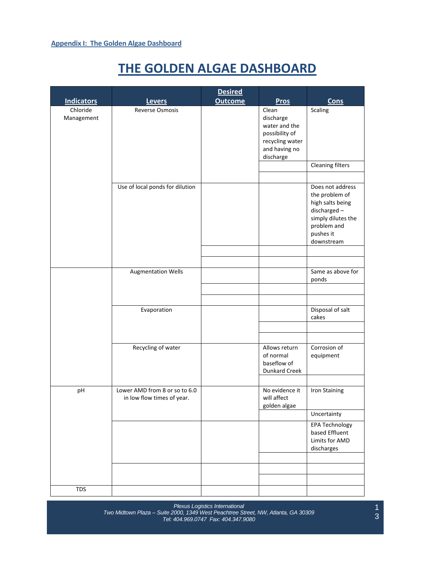# **THE GOLDEN ALGAE DASHBOARD**

|                        |                                                             | <b>Desired</b> |                                                                                                        |                                                                                                                                       |
|------------------------|-------------------------------------------------------------|----------------|--------------------------------------------------------------------------------------------------------|---------------------------------------------------------------------------------------------------------------------------------------|
| <b>Indicators</b>      | <b>Levers</b>                                               | <b>Outcome</b> | <b>Pros</b>                                                                                            | <b>Cons</b>                                                                                                                           |
| Chloride<br>Management | Reverse Osmosis                                             |                | Clean<br>discharge<br>water and the<br>possibility of<br>recycling water<br>and having no<br>discharge | Scaling                                                                                                                               |
|                        |                                                             |                |                                                                                                        | <b>Cleaning filters</b>                                                                                                               |
|                        |                                                             |                |                                                                                                        |                                                                                                                                       |
|                        | Use of local ponds for dilution                             |                |                                                                                                        | Does not address<br>the problem of<br>high salts being<br>discharged-<br>simply dilutes the<br>problem and<br>pushes it<br>downstream |
|                        |                                                             |                |                                                                                                        |                                                                                                                                       |
|                        |                                                             |                |                                                                                                        |                                                                                                                                       |
|                        | <b>Augmentation Wells</b>                                   |                |                                                                                                        | Same as above for<br>ponds                                                                                                            |
|                        |                                                             |                |                                                                                                        |                                                                                                                                       |
|                        | Evaporation                                                 |                |                                                                                                        | Disposal of salt<br>cakes                                                                                                             |
|                        |                                                             |                |                                                                                                        |                                                                                                                                       |
|                        |                                                             |                |                                                                                                        |                                                                                                                                       |
|                        | Recycling of water                                          |                | Allows return<br>of normal<br>baseflow of<br><b>Dunkard Creek</b>                                      | Corrosion of<br>equipment                                                                                                             |
|                        |                                                             |                |                                                                                                        |                                                                                                                                       |
| pH                     | Lower AMD from 8 or so to 6.0<br>in low flow times of year. |                | No evidence it<br>will affect<br>golden algae                                                          | Iron Staining                                                                                                                         |
|                        |                                                             |                |                                                                                                        | Uncertainty                                                                                                                           |
|                        |                                                             |                |                                                                                                        | <b>EPA Technology</b><br>based Effluent<br>Limits for AMD<br>discharges                                                               |
|                        |                                                             |                |                                                                                                        |                                                                                                                                       |
|                        |                                                             |                |                                                                                                        |                                                                                                                                       |
|                        |                                                             |                |                                                                                                        |                                                                                                                                       |
| <b>TDS</b>             |                                                             |                |                                                                                                        |                                                                                                                                       |

*Plexus Logistics International Two Midtown Plaza – Suite 2000, 1349 West Peachtree Street, NW, Atlanta, GA 30309 Tel: 404.969.0747 Fax: 404.347.9080*